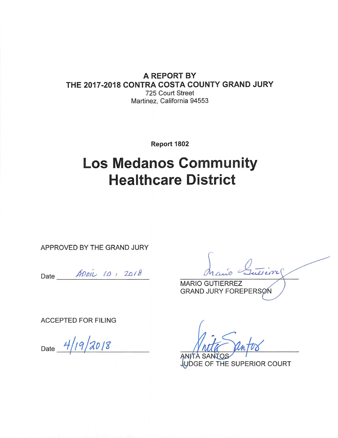# **A REPORT BY** THE 2017-2018 CONTRA COSTA COUNTY GRAND JURY

725 Court Street Martinez, California 94553

Report 1802

# **Los Medanos Community Healthcare District**

APPROVED BY THE GRAND JURY

Date *ADRIL 10* , 2018

**MARIO GUTIERREZ GRAND JURY FOREPERSØN** 

**ACCEPTED FOR FILING** 

Date  $4/19/2018$ 

JUDGE OF THE SUPERIOR COURT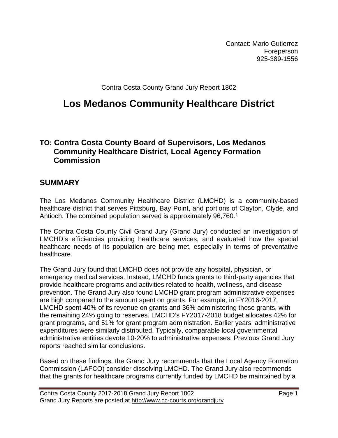Contact: Mario Gutierrez Foreperson 925-389-1556

Contra Costa County Grand Jury Report 1802

# **Los Medanos Community Healthcare District**

# **TO: Contra Costa County Board of Supervisors, Los Medanos Community Healthcare District, Local Agency Formation Commission**

# **SUMMARY**

The Los Medanos Community Healthcare District (LMCHD) is a community-based healthcare district that serves Pittsburg, Bay Point, and portions of Clayton, Clyde, and Antioch. The combined population served is approximately 96,760.<sup>[1](#page-12-0)</sup>

The Contra Costa County Civil Grand Jury (Grand Jury) conducted an investigation of LMCHD's efficiencies providing healthcare services, and evaluated how the special healthcare needs of its population are being met, especially in terms of preventative healthcare.

The Grand Jury found that LMCHD does not provide any hospital, physician, or emergency medical services. Instead, LMCHD funds grants to third-party agencies that provide healthcare programs and activities related to health, wellness, and disease prevention. The Grand Jury also found LMCHD grant program administrative expenses are high compared to the amount spent on grants. For example, in FY2016-2017, LMCHD spent 40% of its revenue on grants and 36% administering those grants, with the remaining 24% going to reserves. LMCHD's FY2017-2018 budget allocates 42% for grant programs, and 51% for grant program administration. Earlier years' administrative expenditures were similarly distributed. Typically, comparable local governmental administrative entities devote 10-20% to administrative expenses. Previous Grand Jury reports reached similar conclusions.

Based on these findings, the Grand Jury recommends that the Local Agency Formation Commission (LAFCO) consider dissolving LMCHD. The Grand Jury also recommends that the grants for healthcare programs currently funded by LMCHD be maintained by a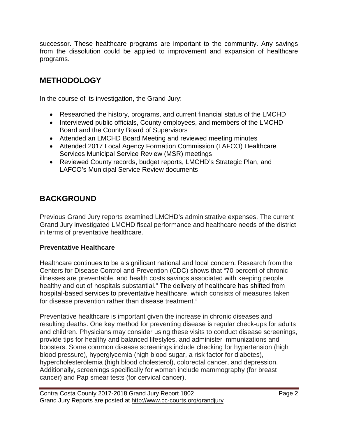successor. These healthcare programs are important to the community. Any savings from the dissolution could be applied to improvement and expansion of healthcare programs.

# **METHODOLOGY**

In the course of its investigation, the Grand Jury:

- Researched the history, programs, and current financial status of the LMCHD
- Interviewed public officials, County employees, and members of the LMCHD Board and the County Board of Supervisors
- Attended an LMCHD Board Meeting and reviewed meeting minutes
- Attended 2017 Local Agency Formation Commission (LAFCO) Healthcare Services Municipal Service Review (MSR) meetings
- Reviewed County records, budget reports, LMCHD's Strategic Plan, and LAFCO's Municipal Service Review documents

# **BACKGROUND**

Previous Grand Jury reports examined LMCHD's administrative expenses. The current Grand Jury investigated LMCHD fiscal performance and healthcare needs of the district in terms of preventative healthcare.

## **Preventative Healthcare**

Healthcare continues to be a significant national and local concern. Research from the Centers for Disease Control and Prevention (CDC) shows that "70 percent of chronic illnesses are preventable, and health costs savings associated with keeping people healthy and out of hospitals substantial." The delivery of healthcare has shifted from hospital-based services to preventative healthcare, which consists of measures taken for disease prevention rather than disease treatment. [2](#page-12-1)

Preventative healthcare is important given the increase in chronic diseases and resulting deaths. One key method for preventing disease is regular check-ups for adults and children. Physicians may consider using these visits to conduct disease screenings, provide tips for healthy and balanced lifestyles, and administer immunizations and boosters. Some common disease screenings include checking for hypertension (high blood pressure), hyperglycemia (high blood sugar, a risk factor for diabetes), hypercholesterolemia (high blood cholesterol), colorectal cancer, and depression. Additionally, screenings specifically for women include mammography (for breast cancer) and Pap smear tests (for cervical cancer).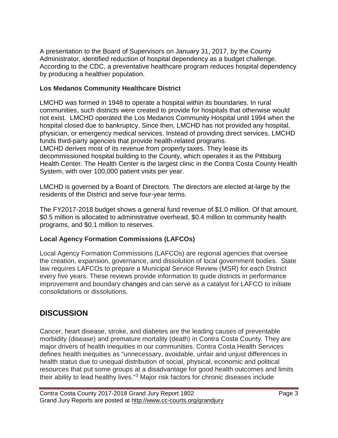A presentation to the Board of Supervisors on January 31, 2017, by the County Administrator, identified reduction of hospital dependency as a budget challenge. According to the CDC, a preventative healthcare program reduces hospital dependency by producing a healthier population.

## **Los Medanos Community Healthcare District**

LMCHD was formed in 1948 to operate a hospital within its boundaries. In rural communities, such districts were created to provide for hospitals that otherwise would not exist. LMCHD operated the Los Medanos Community Hospital until 1994 when the hospital closed due to bankruptcy. Since then, LMCHD has not provided any hospital, physician, or emergency medical services. Instead of providing direct services, LMCHD funds third-party agencies that provide health-related programs. LMCHD derives most of its revenue from property taxes. They lease its decommissioned hospital building to the County, which operates it as the Pittsburg Health Center. The Health Center is the largest clinic in the Contra Costa County Health System, with over 100,000 patient visits per year.

LMCHD is governed by a Board of Directors. The directors are elected at-large by the residents of the District and serve four-year terms.

The FY2017-2018 budget shows a general fund revenue of \$1.0 million. Of that amount, \$0.5 million is allocated to administrative overhead, \$0.4 million to community health programs, and \$0.1 million to reserves.

## **Local Agency Formation Commissions (LAFCOs)**

Local Agency Formation Commissions (LAFCOs) are regional agencies that oversee the creation, expansion, governance, and dissolution of local government bodies. State law requires LAFCOs to prepare a Municipal Service Review (MSR) for each District every five years. These reviews provide information to guide districts in performance improvement and boundary changes and can serve as a catalyst for LAFCO to initiate consolidations or dissolutions.

# **DISCUSSION**

Cancer, heart disease, stroke, and diabetes are the leading causes of preventable morbidity (disease) and premature mortality (death) in Contra Costa County. They are major drivers of health inequities in our communities. Contra Costa Health Services defines health inequities as "unnecessary, avoidable, unfair and unjust differences in health status due to unequal distribution of social, physical, economic and political resources that put some groups at a disadvantage for good health outcomes and limits their ability to lead healthy lives."[3](#page-12-2) Major risk factors for chronic diseases include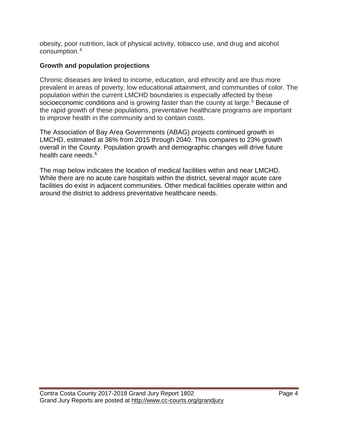obesity, poor nutrition, lack of physical activity, tobacco use, and drug and alcohol consumption.[4](#page-12-3)

# **Growth and population projections**

Chronic diseases are linked to income, education, and ethnicity and are thus more prevalent in areas of poverty, low educational attainment, and communities of color. The population within the current LMCHD boundaries is especially affected by these socioeconomic conditions and is growing faster than the county at large.<sup>[5](#page-12-4)</sup> Because of the rapid growth of these populations, preventative healthcare programs are important to improve health in the community and to contain costs.

The Association of Bay Area Governments (ABAG) projects continued growth in LMCHD, estimated at 36% from 2015 through 2040. This compares to 23% growth overall in the County. Population growth and demographic changes will drive future health care needs.<sup>[6](#page-12-5)</sup>

The map below indicates the location of medical facilities within and near LMCHD. While there are no acute care hospitals within the district, several major acute care facilities do exist in adjacent communities. Other medical facilities operate within and around the district to address preventative healthcare needs.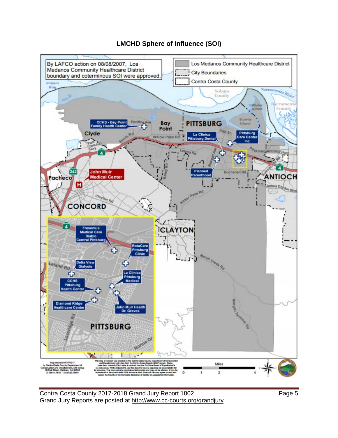

## **LMCHD Sphere of Influence (SOI)**

Contra Costa County 2017-2018 Grand Jury Report 1802 Page 5 Grand Jury Reports are posted at http://www.cc-courts.org/grandjury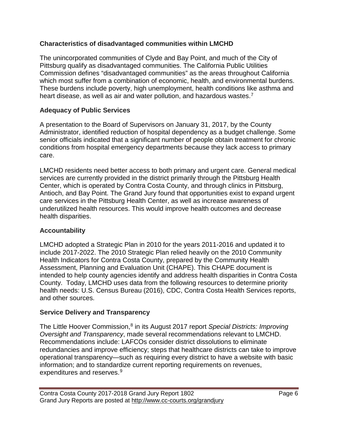## **Characteristics of disadvantaged communities within LMCHD**

The unincorporated communities of Clyde and Bay Point, and much of the City of Pittsburg qualify as disadvantaged communities. The California Public Utilities Commission defines "disadvantaged communities" as the areas throughout California which most suffer from a combination of economic, health, and environmental burdens. These burdens include poverty, high unemployment, health conditions like asthma and heart disease, as well as air and water pollution, and hazardous wastes.<sup>[7](#page-12-6)</sup>

## **Adequacy of Public Services**

A presentation to the Board of Supervisors on January 31, 2017, by the County Administrator, identified reduction of hospital dependency as a budget challenge. Some senior officials indicated that a significant number of people obtain treatment for chronic conditions from hospital emergency departments because they lack access to primary care.

LMCHD residents need better access to both primary and urgent care. General medical services are currently provided in the district primarily through the Pittsburg Health Center, which is operated by Contra Costa County, and through clinics in Pittsburg, Antioch, and Bay Point. The Grand Jury found that opportunities exist to expand urgent care services in the Pittsburg Health Center, as well as increase awareness of underutilized health resources. This would improve health outcomes and decrease health disparities.

## **Accountability**

LMCHD adopted a Strategic Plan in 2010 for the years 2011-2016 and updated it to include 2017-2022. The 2010 Strategic Plan relied heavily on the 2010 Community Health Indicators for Contra Costa County, prepared by the Community Health Assessment, Planning and Evaluation Unit (CHAPE). This CHAPE document is intended to help county agencies identify and address health disparities in Contra Costa County. Today, LMCHD uses data from the following resources to determine priority health needs: U.S. Census Bureau (2016), CDC, Contra Costa Health Services reports, and other sources.

#### **Service Delivery and Transparency**

The Little Hoover Commission, [8](#page-12-7) in its August 2017 report *Special Districts: Improving Oversight and Transparency*, made several recommendations relevant to LMCHD. Recommendations include: LAFCOs consider district dissolutions to eliminate redundancies and improve efficiency; steps that healthcare districts can take to improve operational transparency—such as requiring every district to have a website with basic information; and to standardize current reporting requirements on revenues, expenditures and reserves.<sup>[9](#page-12-8)</sup>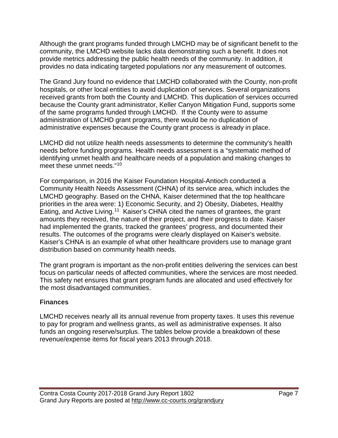Although the grant programs funded through LMCHD may be of significant benefit to the community, the LMCHD website lacks data demonstrating such a benefit. It does not provide metrics addressing the public health needs of the community. In addition, it provides no data indicating targeted populations nor any measurement of outcomes.

The Grand Jury found no evidence that LMCHD collaborated with the County, non-profit hospitals, or other local entities to avoid duplication of services. Several organizations received grants from both the County and LMCHD. This duplication of services occurred because the County grant administrator, Keller Canyon Mitigation Fund, supports some of the same programs funded through LMCHD. If the County were to assume administration of LMCHD grant programs, there would be no duplication of administrative expenses because the County grant process is already in place.

LMCHD did not utilize health needs assessments to determine the community's health needs before funding programs. Health needs assessment is a "systematic method of identifying unmet health and healthcare needs of a population and making changes to meet these unmet needs."[10](#page-12-9)

For comparison, in 2016 the Kaiser Foundation Hospital-Antioch conducted a Community Health Needs Assessment (CHNA) of its service area, which includes the LMCHD geography. Based on the CHNA, Kaiser determined that the top healthcare priorities in the area were: 1) Economic Security, and 2) Obesity, Diabetes, Healthy Eating, and Active Living.<sup>[11](#page-12-10)</sup> Kaiser's CHNA cited the names of grantees, the grant amounts they received, the nature of their project, and their progress to date. Kaiser had implemented the grants, tracked the grantees' progress, and documented their results. The outcomes of the programs were clearly displayed on Kaiser's website. Kaiser's CHNA is an example of what other healthcare providers use to manage grant distribution based on community health needs.

The grant program is important as the non-profit entities delivering the services can best focus on particular needs of affected communities, where the services are most needed. This safety net ensures that grant program funds are allocated and used effectively for the most disadvantaged communities.

## **Finances**

LMCHD receives nearly all its annual revenue from property taxes. It uses this revenue to pay for program and wellness grants, as well as administrative expenses. It also funds an ongoing reserve/surplus. The tables below provide a breakdown of these revenue/expense items for fiscal years 2013 through 2018.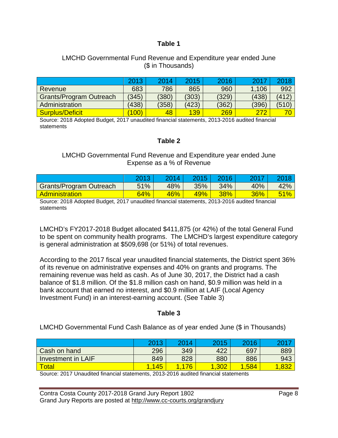#### **Table 1**

#### LMCHD Governmental Fund Revenue and Expenditure year ended June (\$ in Thousands)

|                                | 2013  | 2014  | 2015  | 2016  | 2017  | 2018  |
|--------------------------------|-------|-------|-------|-------|-------|-------|
| Revenue                        | 683   | 786   | 865   | 960   | 1.106 | 992   |
| <b>Grants/Program Outreach</b> | (345) | (380) | (303) | (329) | (438) | 412   |
| Administration                 | (438) | (358) | (423) | (362) | (396) | (510) |
| Surplus/Deficit                | (100) | 48    | 139   | 269   | 272   |       |

Source: 2018 Adopted Budget, 2017 unaudited financial statements, 2013-2016 audited financial statements

#### **Table 2**

#### LMCHD Governmental Fund Revenue and Expenditure year ended June Expense as a % of Revenue

|                                | $-2017$ | OO 1 4 | 2015 | 2016)  | 2017 |     |
|--------------------------------|---------|--------|------|--------|------|-----|
| <b>Grants/Program Outreach</b> | 51%     | 48%    | 35%  | 34%    | 40%  | 42% |
| Administration                 | 64%     | 46%    | 49%  | $38\%$ | 36%  | 51% |

Source: 2018 Adopted Budget, 2017 unaudited financial statements, 2013-2016 audited financial **statements** 

LMCHD's FY2017-2018 Budget allocated \$411,875 (or 42%) of the total General Fund to be spent on community health programs. The LMCHD's largest expenditure category is general administration at \$509,698 (or 51%) of total revenues.

According to the 2017 fiscal year unaudited financial statements, the District spent 36% of its revenue on administrative expenses and 40% on grants and programs. The remaining revenue was held as cash. As of June 30, 2017, the District had a cash balance of \$1.8 million. Of the \$1.8 million cash on hand, \$0.9 million was held in a bank account that earned no interest, and \$0.9 million at LAIF (Local Agency Investment Fund) in an interest-earning account. (See Table 3)

#### **Table 3**

LMCHD Governmental Fund Cash Balance as of year ended June (\$ in Thousands)

|                    | 2013 | 2014 | 2015 | 2016 | 20  |
|--------------------|------|------|------|------|-----|
| Cash on hand       | 296  | 349  | 422  | 697  | 889 |
| Investment in LAIF | 849  | 828  | 880  | 886  | 943 |
| <b>Total</b>       | 45   | 176  | ,302 | 584  |     |

Source: 2017 Unaudited financial statements, 2013-2016 audited financial statements

Contra Costa County 2017-2018 Grand Jury Report 1802 Grand Jury Reports are posted at http://www.cc-courts.org/grandjury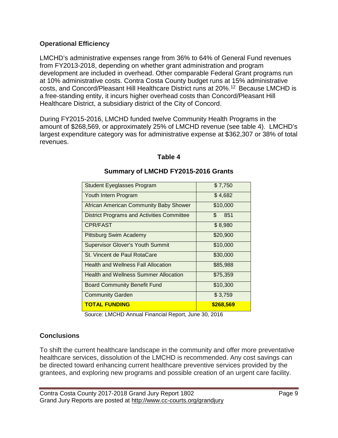## **Operational Efficiency**

LMCHD's administrative expenses range from 36% to 64% of General Fund revenues from FY2013-2018, depending on whether grant administration and program development are included in overhead. Other comparable Federal Grant programs run at 10% administrative costs. Contra Costa County budget runs at 15% administrative costs, and Concord/Pleasant Hill Healthcare District runs at 20%. [12](#page-12-11) Because LMCHD is a free-standing entity, it incurs higher overhead costs than Concord/Pleasant Hill Healthcare District, a subsidiary district of the City of Concord.

During FY2015-2016, LMCHD funded twelve Community Health Programs in the amount of \$268,569, or approximately 25% of LMCHD revenue (see table 4). LMCHD's largest expenditure category was for administrative expense at \$362,307 or 38% of total revenues.

#### **Table 4**

| <b>Student Eyeglasses Program</b>             | \$7,750    |
|-----------------------------------------------|------------|
| Youth Intern Program                          | \$4,682    |
| <b>African American Community Baby Shower</b> | \$10,000   |
| District Programs and Activities Committee    | \$.<br>851 |
| CPR/FAST                                      | \$8,980    |
| Pittsburg Swim Academy                        | \$20,900   |
| <b>Supervisor Glover's Youth Summit</b>       | \$10,000   |
| St. Vincent de Paul RotaCare                  | \$30,000   |
| <b>Health and Wellness Fall Allocation</b>    | \$85,988   |
| <b>Health and Wellness Summer Allocation</b>  | \$75,359   |
| Board Community Benefit Fund                  | \$10,300   |
| <b>Community Garden</b>                       | \$3,759    |
| <b>TOTAL FUNDING</b>                          | \$268,569  |

#### **Summary of LMCHD FY2015-2016 Grants**

Source: LMCHD Annual Financial Report, June 30, 2016

#### **Conclusions**

To shift the current healthcare landscape in the community and offer more preventative healthcare services, dissolution of the LMCHD is recommended. Any cost savings can be directed toward enhancing current healthcare preventive services provided by the grantees, and exploring new programs and possible creation of an urgent care facility.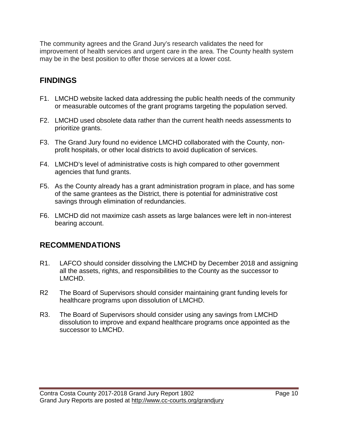The community agrees and the Grand Jury's research validates the need for improvement of health services and urgent care in the area. The County health system may be in the best position to offer those services at a lower cost.

# **FINDINGS**

- F1. LMCHD website lacked data addressing the public health needs of the community or measurable outcomes of the grant programs targeting the population served.
- F2. LMCHD used obsolete data rather than the current health needs assessments to prioritize grants.
- F3. The Grand Jury found no evidence LMCHD collaborated with the County, nonprofit hospitals, or other local districts to avoid duplication of services.
- F4. LMCHD's level of administrative costs is high compared to other government agencies that fund grants.
- F5. As the County already has a grant administration program in place, and has some of the same grantees as the District, there is potential for administrative cost savings through elimination of redundancies.
- F6. LMCHD did not maximize cash assets as large balances were left in non-interest bearing account.

# **RECOMMENDATIONS**

- R1. LAFCO should consider dissolving the LMCHD by December 2018 and assigning all the assets, rights, and responsibilities to the County as the successor to LMCHD.
- R2 The Board of Supervisors should consider maintaining grant funding levels for healthcare programs upon dissolution of LMCHD.
- R3. The Board of Supervisors should consider using any savings from LMCHD dissolution to improve and expand healthcare programs once appointed as the successor to LMCHD.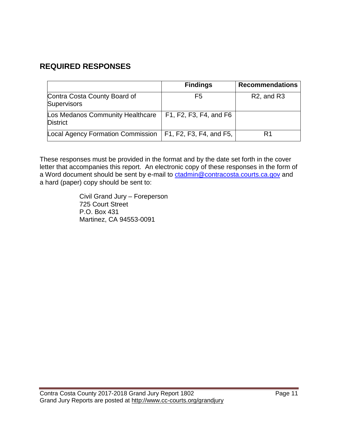# **REQUIRED RESPONSES**

|                                                     | <b>Findings</b>         | <b>Recommendations</b>              |
|-----------------------------------------------------|-------------------------|-------------------------------------|
| Contra Costa County Board of<br><b>Supervisors</b>  | F5                      | R <sub>2</sub> , and R <sub>3</sub> |
| Los Medanos Community Healthcare<br><b>District</b> | F1, F2, F3, F4, and F6  |                                     |
| Local Agency Formation Commission                   | F1, F2, F3, F4, and F5, | R1                                  |

These responses must be provided in the format and by the date set forth in the cover letter that accompanies this report. An electronic copy of these responses in the form of a Word document should be sent by e-mail to [ctadmin@contracosta.courts.ca.gov](mailto:clope2@contracosta.courts.ca.gov) and a hard (paper) copy should be sent to:

> Civil Grand Jury – Foreperson 725 Court Street P.O. Box 431 Martinez, CA 94553-0091